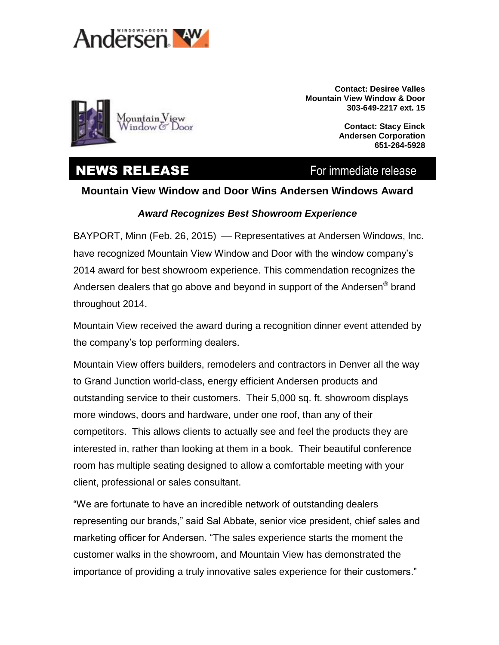



**Contact: Desiree Valles Mountain View Window & Door 303-649-2217 ext. 15**

> **Contact: Stacy Einck Andersen Corporation 651-264-5928**

## **NEWS RELEASE** For immediate release

## **Mountain View Window and Door Wins Andersen Windows Award**

## *Award Recognizes Best Showroom Experience*

BAYPORT, Minn (Feb. 26, 2015) - Representatives at Andersen Windows, Inc. have recognized Mountain View Window and Door with the window company's 2014 award for best showroom experience. This commendation recognizes the Andersen dealers that go above and beyond in support of the Andersen® brand throughout 2014.

Mountain View received the award during a recognition dinner event attended by the company's top performing dealers.

Mountain View offers builders, remodelers and contractors in Denver all the way to Grand Junction world-class, energy efficient Andersen products and outstanding service to their customers. Their 5,000 sq. ft. showroom displays more windows, doors and hardware, under one roof, than any of their competitors. This allows clients to actually see and feel the products they are interested in, rather than looking at them in a book. Their beautiful conference room has multiple seating designed to allow a comfortable meeting with your client, professional or sales consultant.

"We are fortunate to have an incredible network of outstanding dealers representing our brands," said Sal Abbate, senior vice president, chief sales and marketing officer for Andersen. "The sales experience starts the moment the customer walks in the showroom, and Mountain View has demonstrated the importance of providing a truly innovative sales experience for their customers."